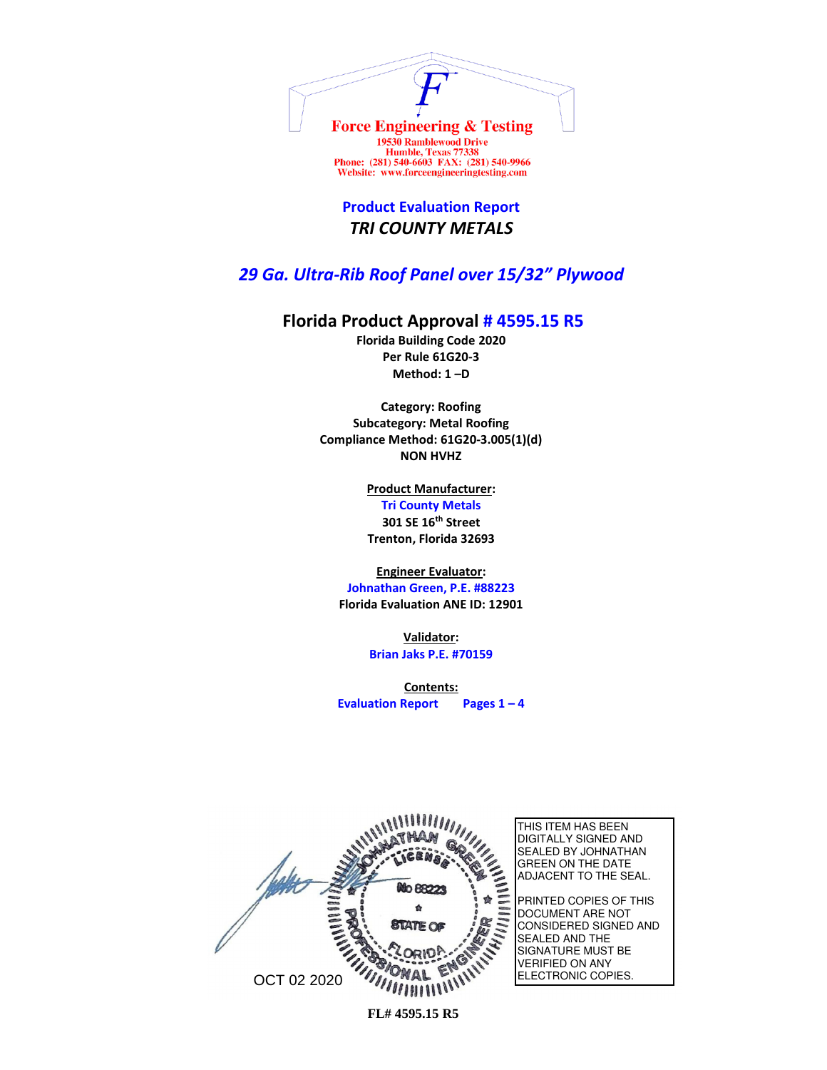

Website: www.forceengineeringtesting.com

**Product Evaluation Report** *TRI COUNTY METALS*

## *29 Ga. Ultra-Rib Roof Panel over 15/32" Plywood*

## **Florida Product Approval # 4595.15 R5**

**Florida Building Code 2020 Per Rule 61G20-3 Method: 1 –D** 

**Category: Roofing Subcategory: Metal Roofing Compliance Method: 61G20-3.005(1)(d) NON HVHZ**

> **Product Manufacturer: Tri County Metals 301 SE 16th Street Trenton, Florida 32693**

**Engineer Evaluator:**

**Johnathan Green, P.E. #88223 Florida Evaluation ANE ID: 12901**

> **Validator: Brian Jaks P.E. #70159**

**Contents: Evaluation Report Pages 1 – 4**

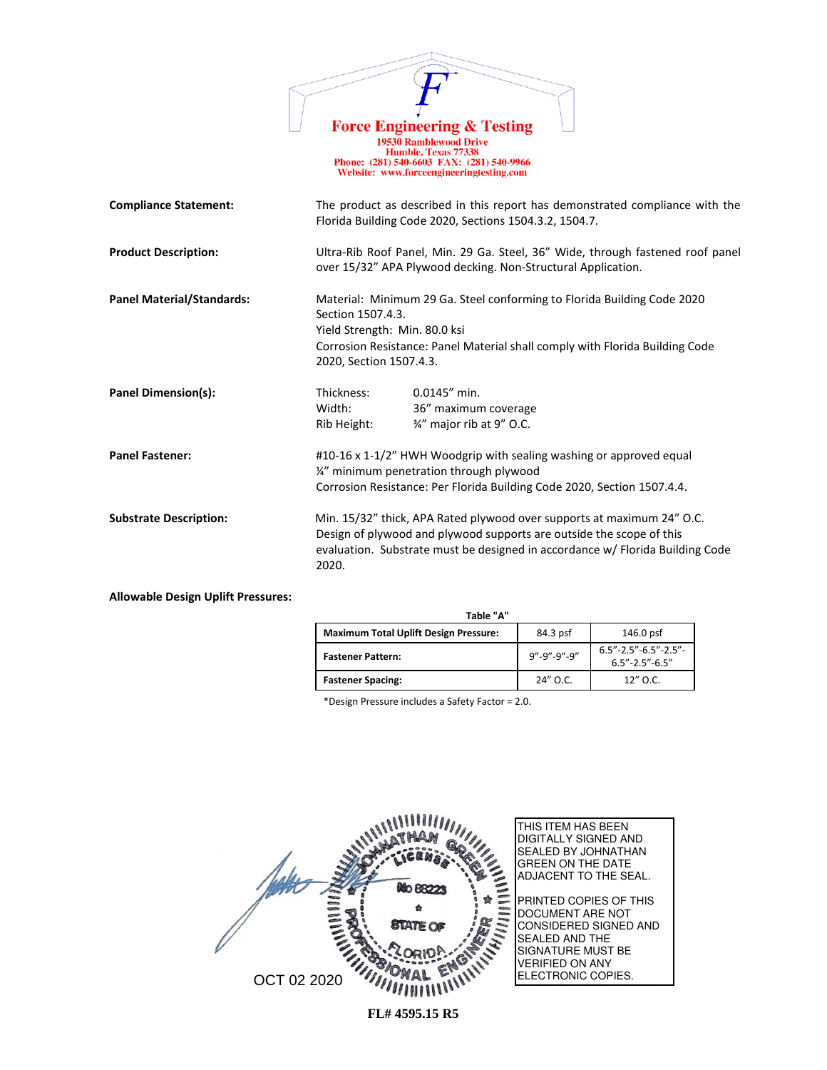|                                  | <b>Force Engineering &amp; Testing</b><br><b>19530 Ramblewood Drive</b><br>Humble, Texas 77338<br>Phone: (281) 540-6603 FAX: (281) 540-9966<br>Website: www.forceengineeringtesting.com                                                  |
|----------------------------------|------------------------------------------------------------------------------------------------------------------------------------------------------------------------------------------------------------------------------------------|
| <b>Compliance Statement:</b>     | The product as described in this report has demonstrated compliance with the<br>Florida Building Code 2020, Sections 1504.3.2, 1504.7.                                                                                                   |
| <b>Product Description:</b>      | Ultra-Rib Roof Panel, Min. 29 Ga. Steel, 36" Wide, through fastened roof panel<br>over 15/32" APA Plywood decking. Non-Structural Application.                                                                                           |
| <b>Panel Material/Standards:</b> | Material: Minimum 29 Ga. Steel conforming to Florida Building Code 2020<br>Section 1507.4.3.<br>Yield Strength: Min. 80.0 ksi<br>Corrosion Resistance: Panel Material shall comply with Florida Building Code<br>2020, Section 1507.4.3. |
| <b>Panel Dimension(s):</b>       | Thickness:<br>$0.0145''$ min.<br>Width:<br>36" maximum coverage<br>3/4" major rib at 9" O.C.<br>Rib Height:                                                                                                                              |
| <b>Panel Fastener:</b>           | #10-16 x 1-1/2" HWH Woodgrip with sealing washing or approved equal<br>1/4" minimum penetration through plywood<br>Corrosion Resistance: Per Florida Building Code 2020, Section 1507.4.4.                                               |
| <b>Substrate Description:</b>    | Min. 15/32" thick, APA Rated plywood over supports at maximum 24" O.C.<br>Design of plywood and plywood supports are outside the scope of this<br>evaluation. Substrate must be designed in accordance w/ Florida Building Code<br>2020. |

**Allowable Design Uplift Pressures:**

| Table "A"                                    |             |                                                              |  |
|----------------------------------------------|-------------|--------------------------------------------------------------|--|
| <b>Maximum Total Uplift Design Pressure:</b> | 84.3 psf    | 146.0 psf                                                    |  |
| <b>Fastener Pattern:</b>                     | 9"-9"-9"-9" | $6.5'' - 2.5'' - 6.5'' - 2.5'' -$<br>$6.5'' - 2.5'' - 6.5''$ |  |
| <b>Fastener Spacing:</b>                     | 24" O.C.    | $12''$ O.C.                                                  |  |

\*Design Pressure includes a Safety Factor = 2.0.



**FL# 4595.15 R5**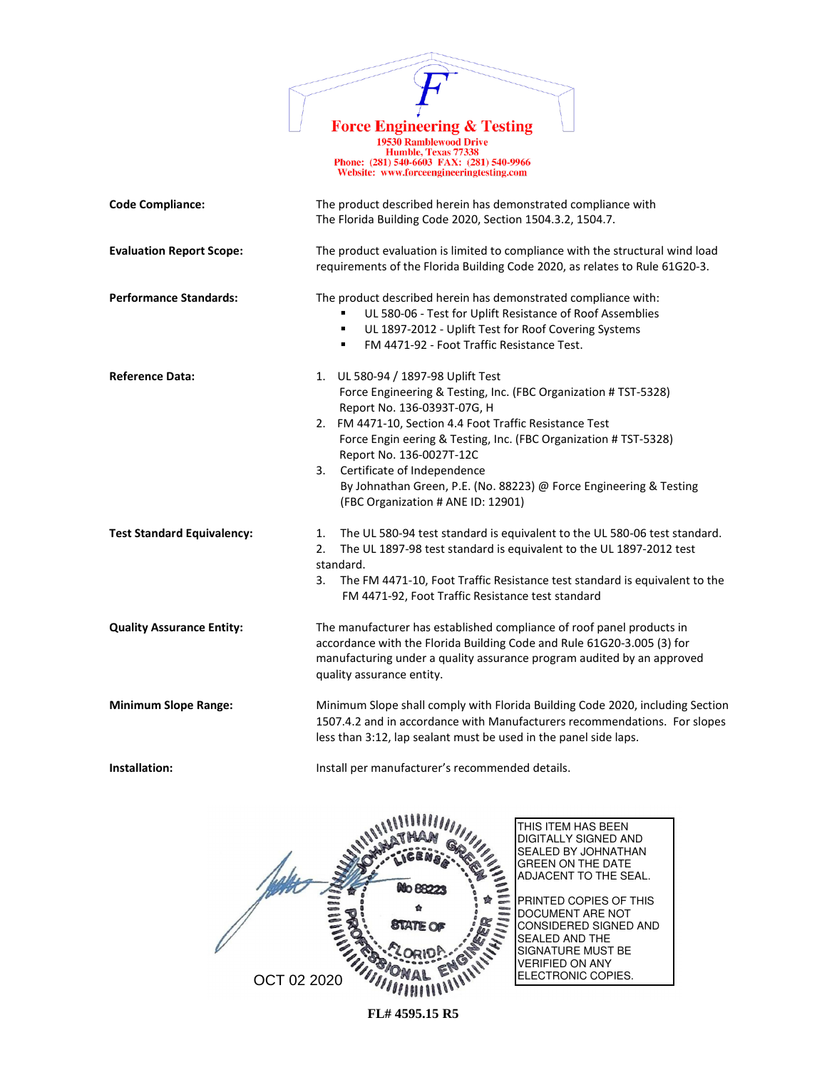

19530 Ramblewood Drive **Humble, Texas 77338**<br>Phone: (281) 540-6603 FAX: (281) 540-9966 Website: www.forceengineeringtesting.com

**Code Compliance:** The product described herein has demonstrated compliance with The Florida Building Code 2020, Section 1504.3.2, 1504.7. **Evaluation Report Scope:** The product evaluation is limited to compliance with the structural wind load requirements of the Florida Building Code 2020, as relates to Rule 61G20-3. **Performance Standards:** The product described herein has demonstrated compliance with: UL 580-06 - Test for Uplift Resistance of Roof Assemblies UL 1897-2012 - Uplift Test for Roof Covering Systems ▪ FM 4471-92 - Foot Traffic Resistance Test. **Reference Data:** 1. UL 580-94 / 1897-98 Uplift Test Force Engineering & Testing, Inc. (FBC Organization # TST-5328) Report No. 136-0393T-07G, H 2. FM 4471-10, Section 4.4 Foot Traffic Resistance Test Force Engin eering & Testing, Inc. (FBC Organization # TST-5328) Report No. 136-0027T-12C 3. Certificate of Independence By Johnathan Green, P.E. (No. 88223) @ Force Engineering & Testing (FBC Organization # ANE ID: 12901) **Test Standard Equivalency:** 1.The UL 580-94 test standard is equivalent to the UL 580-06 test standard. 2. The UL 1897-98 test standard is equivalent to the UL 1897-2012 test standard. 3. The FM 4471-10, Foot Traffic Resistance test standard is equivalent to the FM 4471-92, Foot Traffic Resistance test standard **Quality Assurance Entity:** The manufacturer has established compliance of roof panel products in accordance with the Florida Building Code and Rule 61G20-3.005 (3) for manufacturing under a quality assurance program audited by an approved quality assurance entity. **Minimum Slope Range:** Minimum Slope shall comply with Florida Building Code 2020, including Section 1507.4.2 and in accordance with Manufacturers recommendations. For slopes less than 3:12, lap sealant must be used in the panel side laps. **Installation: Install per manufacturer's recommended details.** 

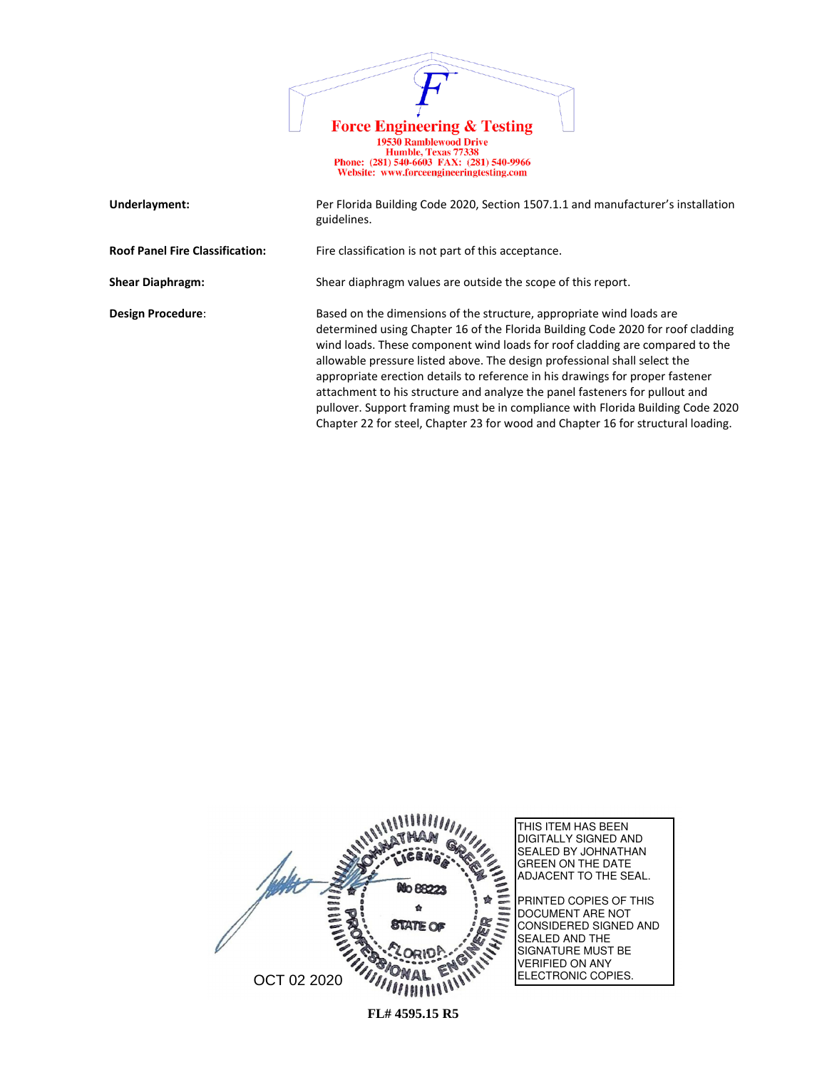

| Underlayment:                          | Per Florida Building Code 2020, Section 1507.1.1 and manufacturer's installation<br>guidelines.                                                                                                                                                                                                                                                                                                                                                                                                                                                                                                                                                             |
|----------------------------------------|-------------------------------------------------------------------------------------------------------------------------------------------------------------------------------------------------------------------------------------------------------------------------------------------------------------------------------------------------------------------------------------------------------------------------------------------------------------------------------------------------------------------------------------------------------------------------------------------------------------------------------------------------------------|
| <b>Roof Panel Fire Classification:</b> | Fire classification is not part of this acceptance.                                                                                                                                                                                                                                                                                                                                                                                                                                                                                                                                                                                                         |
| <b>Shear Diaphragm:</b>                | Shear diaphragm values are outside the scope of this report.                                                                                                                                                                                                                                                                                                                                                                                                                                                                                                                                                                                                |
| Design Procedure:                      | Based on the dimensions of the structure, appropriate wind loads are<br>determined using Chapter 16 of the Florida Building Code 2020 for roof cladding<br>wind loads. These component wind loads for roof cladding are compared to the<br>allowable pressure listed above. The design professional shall select the<br>appropriate erection details to reference in his drawings for proper fastener<br>attachment to his structure and analyze the panel fasteners for pullout and<br>pullover. Support framing must be in compliance with Florida Building Code 2020<br>Chapter 22 for steel, Chapter 23 for wood and Chapter 16 for structural loading. |